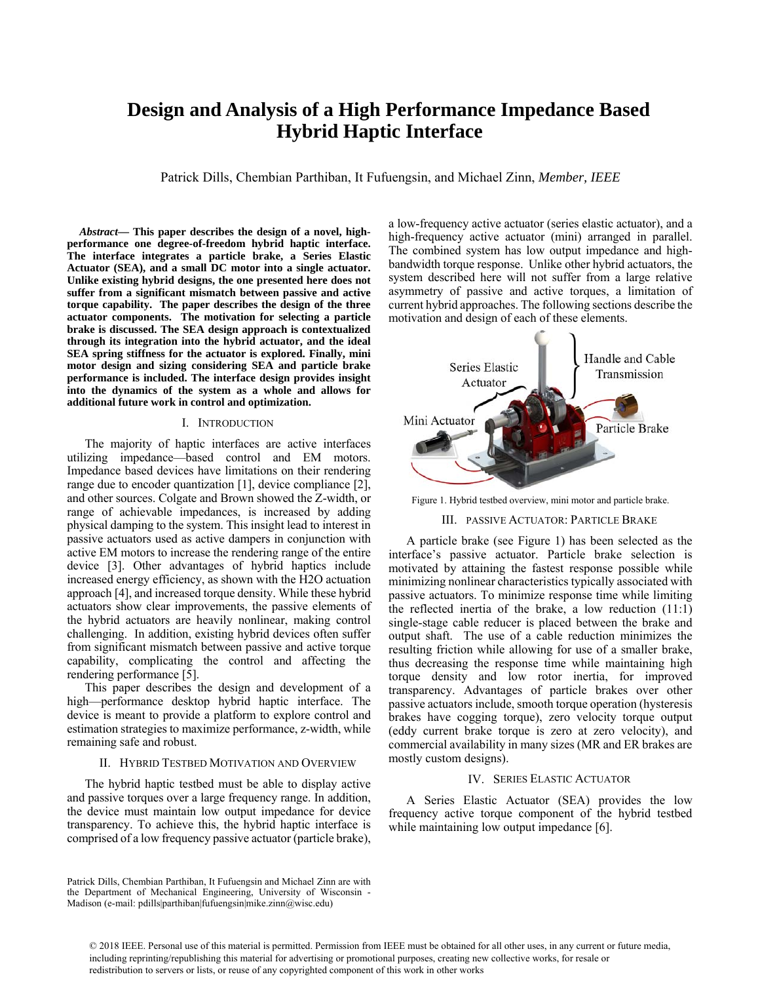# **Design and Analysis of a High Performance Impedance Based Hybrid Haptic Interface**

Patrick Dills, Chembian Parthiban, It Fufuengsin, and Michael Zinn, *Member, IEEE* 

*Abstract***— This paper describes the design of a novel, highperformance one degree-of-freedom hybrid haptic interface. The interface integrates a particle brake, a Series Elastic Actuator (SEA), and a small DC motor into a single actuator. Unlike existing hybrid designs, the one presented here does not suffer from a significant mismatch between passive and active torque capability. The paper describes the design of the three actuator components. The motivation for selecting a particle brake is discussed. The SEA design approach is contextualized through its integration into the hybrid actuator, and the ideal SEA spring stiffness for the actuator is explored. Finally, mini motor design and sizing considering SEA and particle brake performance is included. The interface design provides insight into the dynamics of the system as a whole and allows for additional future work in control and optimization.** 

#### I. INTRODUCTION

The majority of haptic interfaces are active interfaces utilizing impedance—based control and EM motors. Impedance based devices have limitations on their rendering range due to encoder quantization [1], device compliance [2], and other sources. Colgate and Brown showed the Z-width, or range of achievable impedances, is increased by adding physical damping to the system. This insight lead to interest in passive actuators used as active dampers in conjunction with active EM motors to increase the rendering range of the entire device [3]. Other advantages of hybrid haptics include increased energy efficiency, as shown with the H2O actuation approach [4], and increased torque density. While these hybrid actuators show clear improvements, the passive elements of the hybrid actuators are heavily nonlinear, making control challenging. In addition, existing hybrid devices often suffer from significant mismatch between passive and active torque capability, complicating the control and affecting the rendering performance [5].

This paper describes the design and development of a high—performance desktop hybrid haptic interface. The device is meant to provide a platform to explore control and estimation strategies to maximize performance, z-width, while remaining safe and robust.

#### II. HYBRID TESTBED MOTIVATION AND OVERVIEW

The hybrid haptic testbed must be able to display active and passive torques over a large frequency range. In addition, the device must maintain low output impedance for device transparency. To achieve this, the hybrid haptic interface is comprised of a low frequency passive actuator (particle brake),

Patrick Dills, Chembian Parthiban, It Fufuengsin and Michael Zinn are with the Department of Mechanical Engineering, University of Wisconsin - Madison (e-mail: pdills|parthiban|fufuengsin|mike.zinn@wisc.edu)

a low-frequency active actuator (series elastic actuator), and a high-frequency active actuator (mini) arranged in parallel. The combined system has low output impedance and highbandwidth torque response. Unlike other hybrid actuators, the system described here will not suffer from a large relative asymmetry of passive and active torques, a limitation of current hybrid approaches. The following sections describe the motivation and design of each of these elements.



Figure 1. Hybrid testbed overview, mini motor and particle brake.

### III. PASSIVE ACTUATOR: PARTICLE BRAKE

A particle brake (see Figure 1) has been selected as the interface's passive actuator. Particle brake selection is motivated by attaining the fastest response possible while minimizing nonlinear characteristics typically associated with passive actuators. To minimize response time while limiting the reflected inertia of the brake, a low reduction (11:1) single-stage cable reducer is placed between the brake and output shaft. The use of a cable reduction minimizes the resulting friction while allowing for use of a smaller brake, thus decreasing the response time while maintaining high torque density and low rotor inertia, for improved transparency. Advantages of particle brakes over other passive actuators include, smooth torque operation (hysteresis brakes have cogging torque), zero velocity torque output (eddy current brake torque is zero at zero velocity), and commercial availability in many sizes (MR and ER brakes are mostly custom designs).

### IV. SERIES ELASTIC ACTUATOR

A Series Elastic Actuator (SEA) provides the low frequency active torque component of the hybrid testbed while maintaining low output impedance [6].

© 2018 IEEE. Personal use of this material is permitted. Permission from IEEE must be obtained for all other uses, in any current or future media, including reprinting/republishing this material for advertising or promotional purposes, creating new collective works, for resale or redistribution to servers or lists, or reuse of any copyrighted component of this work in other works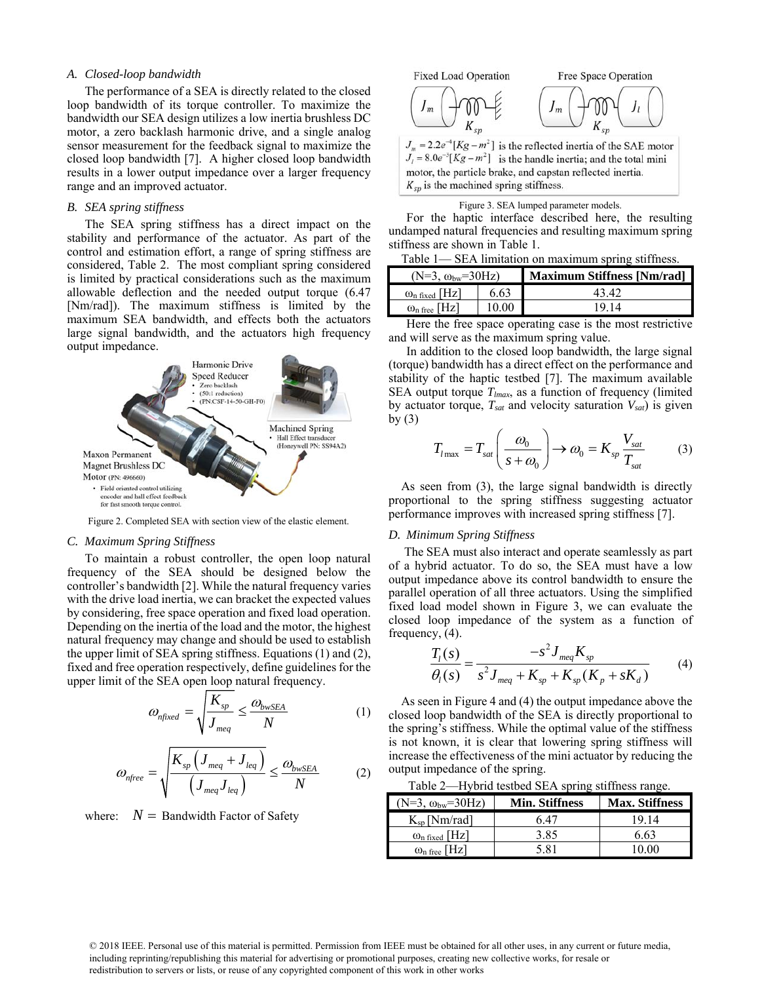#### *A. Closed-loop bandwidth*

The performance of a SEA is directly related to the closed loop bandwidth of its torque controller. To maximize the bandwidth our SEA design utilizes a low inertia brushless DC motor, a zero backlash harmonic drive, and a single analog sensor measurement for the feedback signal to maximize the closed loop bandwidth [7]. A higher closed loop bandwidth results in a lower output impedance over a larger frequency range and an improved actuator.

## *B. SEA spring stiffness*

The SEA spring stiffness has a direct impact on the stability and performance of the actuator. As part of the control and estimation effort, a range of spring stiffness are considered, Table 2. The most compliant spring considered is limited by practical considerations such as the maximum allowable deflection and the needed output torque (6.47 [Nm/rad]). The maximum stiffness is limited by the maximum SEA bandwidth, and effects both the actuators large signal bandwidth, and the actuators high frequency output impedance.



Figure 2. Completed SEA with section view of the elastic element.

## *C. Maximum Spring Stiffness*

To maintain a robust controller, the open loop natural frequency of the SEA should be designed below the controller's bandwidth [2]. While the natural frequency varies with the drive load inertia, we can bracket the expected values by considering, free space operation and fixed load operation. Depending on the inertia of the load and the motor, the highest natural frequency may change and should be used to establish the upper limit of SEA spring stiffness. Equations (1) and (2), fixed and free operation respectively, define guidelines for the upper limit of the SEA open loop natural frequency.

$$
\omega_{n\text{fixed}} = \sqrt{\frac{K_{sp}}{J_{\text{med}}}} \le \frac{\omega_{\text{bwSEA}}}{N} \tag{1}
$$

$$
\omega_{nfree} = \sqrt{\frac{K_{sp} \left( J_{meq} + J_{leq} \right)}{\left( J_{meq} J_{leq} \right)}} \leq \frac{\omega_{bwsEA}}{N}
$$
 (2)

where:  $N =$  Bandwidth Factor of Safety



 $J_m = 2.2e^{-4}[Kg - m^2]$  is the reflected inertia of the SAE motor  $J_1 = 8.0e^{-3}[Kg - m^2]$  is the handle inertia; and the total mini motor, the particle brake, and capstan reflected inertia.  $K_{sp}$  is the machined spring stiffness.

#### Figure 3. SEA lumped parameter models.

For the haptic interface described here, the resulting undamped natural frequencies and resulting maximum spring stiffness are shown in Table 1.

| Table 1—SEA limitation on maximum spring stiffness. |  |  |
|-----------------------------------------------------|--|--|
|                                                     |  |  |
|                                                     |  |  |

| $(N=3, \omega_{bw}=30Hz)$       |       | <b>Maximum Stiffness [Nm/rad]</b> |  |
|---------------------------------|-------|-----------------------------------|--|
| $\omega_{n \text{ fixed}}$ [Hz] | 6.63  | 43 42                             |  |
| $\omega_{\rm n}$ free [Hz]      | 10.00 | 19 14                             |  |

Here the free space operating case is the most restrictive and will serve as the maximum spring value.

In addition to the closed loop bandwidth, the large signal (torque) bandwidth has a direct effect on the performance and stability of the haptic testbed [7]. The maximum available SEA output torque *Tlmax*, as a function of frequency (limited by actuator torque, *Tsat* and velocity saturation *Vsat*) is given by  $(3)$ 

$$
T_{l\max} = T_{sat} \left( \frac{\omega_0}{s + \omega_0} \right) \to \omega_0 = K_{sp} \frac{V_{sat}}{T_{sat}} \tag{3}
$$

As seen from (3), the large signal bandwidth is directly proportional to the spring stiffness suggesting actuator performance improves with increased spring stiffness [7].

### *D. Minimum Spring Stiffness*

 The SEA must also interact and operate seamlessly as part of a hybrid actuator. To do so, the SEA must have a low output impedance above its control bandwidth to ensure the parallel operation of all three actuators. Using the simplified fixed load model shown in Figure 3, we can evaluate the closed loop impedance of the system as a function of frequency, (4).

$$
\frac{T_l(s)}{\theta_l(s)} = \frac{-s^2 J_{\text{meq}} K_{sp}}{s^2 J_{\text{meq}} + K_{sp} + K_{sp}(K_p + sK_d)}
$$
(4)

As seen in Figure 4 and (4) the output impedance above the closed loop bandwidth of the SEA is directly proportional to the spring's stiffness. While the optimal value of the stiffness is not known, it is clear that lowering spring stiffness will increase the effectiveness of the mini actuator by reducing the output impedance of the spring.

Table 2—Hybrid testbed SEA spring stiffness range.

| $(N=3, \omega_{bw}=30Hz)$    | <b>Min. Stiffness</b> | <b>Max. Stiffness</b> |
|------------------------------|-----------------------|-----------------------|
| $K_{\rm sn}$ [Nm/rad]        | 6 47                  | 19 14                 |
| $\omega_{\rm n\,fixed}$ [Hz] | 3.85                  | 6.63                  |
| $\omega_{\rm n\,free}$ [Hz]  | 5 81                  |                       |

© 2018 IEEE. Personal use of this material is permitted. Permission from IEEE must be obtained for all other uses, in any current or future media, including reprinting/republishing this material for advertising or promotional purposes, creating new collective works, for resale or redistribution to servers or lists, or reuse of any copyrighted component of this work in other works